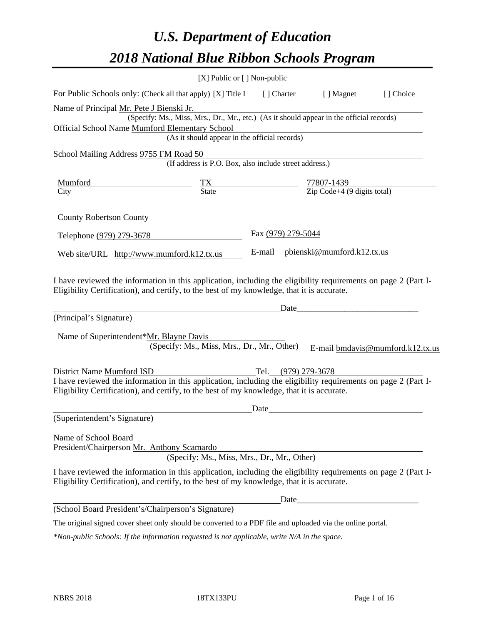# *U.S. Department of Education 2018 National Blue Ribbon Schools Program*

|                                                                                                                                                                                                              | $[X]$ Public or $[ ]$ Non-public                                                         |                                                                                     |                            |                                  |
|--------------------------------------------------------------------------------------------------------------------------------------------------------------------------------------------------------------|------------------------------------------------------------------------------------------|-------------------------------------------------------------------------------------|----------------------------|----------------------------------|
| For Public Schools only: (Check all that apply) [X] Title I                                                                                                                                                  |                                                                                          | [ ] Charter                                                                         | [ ] Magnet                 | [] Choice                        |
| Name of Principal Mr. Pete J Bienski Jr.                                                                                                                                                                     | (Specify: Ms., Miss, Mrs., Dr., Mr., etc.) (As it should appear in the official records) |                                                                                     |                            |                                  |
| Official School Name Mumford Elementary School                                                                                                                                                               |                                                                                          |                                                                                     |                            |                                  |
|                                                                                                                                                                                                              | (As it should appear in the official records)                                            |                                                                                     |                            |                                  |
| School Mailing Address 9755 FM Road 50                                                                                                                                                                       |                                                                                          |                                                                                     |                            |                                  |
|                                                                                                                                                                                                              | (If address is P.O. Box, also include street address.)                                   |                                                                                     |                            |                                  |
| <u>Mumford</u>                                                                                                                                                                                               |                                                                                          | $\frac{TX}{State}$ $\frac{77807-1439}{Zip \text{ Code}+4 (9 \text{ digits total})}$ |                            |                                  |
| City                                                                                                                                                                                                         |                                                                                          |                                                                                     |                            |                                  |
| County Robertson County                                                                                                                                                                                      |                                                                                          |                                                                                     |                            |                                  |
| Telephone (979) 279-3678                                                                                                                                                                                     |                                                                                          | Fax (979) 279-5044                                                                  |                            |                                  |
| Web site/URL http://www.mumford.k12.tx.us                                                                                                                                                                    |                                                                                          | E-mail                                                                              | pbienski@mumford.k12.tx.us |                                  |
| (Principal's Signature)<br>Name of Superintendent*Mr. Blayne Davis                                                                                                                                           | (Specify: Ms., Miss, Mrs., Dr., Mr., Other)                                              | Date_                                                                               |                            | E-mail bmdavis@mumford.k12.tx.us |
| District Name Mumford ISD                                                                                                                                                                                    |                                                                                          | Tel. (979) 279-3678                                                                 |                            |                                  |
| I have reviewed the information in this application, including the eligibility requirements on page 2 (Part I-<br>Eligibility Certification), and certify, to the best of my knowledge, that it is accurate. |                                                                                          |                                                                                     |                            |                                  |
|                                                                                                                                                                                                              |                                                                                          | Date                                                                                |                            |                                  |
| (Superintendent's Signature)                                                                                                                                                                                 |                                                                                          |                                                                                     |                            |                                  |
| Name of School Board<br>President/Chairperson Mr. Anthony Scamardo                                                                                                                                           | (Specify: Ms., Miss, Mrs., Dr., Mr., Other)                                              |                                                                                     |                            |                                  |
| I have reviewed the information in this application, including the eligibility requirements on page 2 (Part I-<br>Eligibility Certification), and certify, to the best of my knowledge, that it is accurate. |                                                                                          |                                                                                     |                            |                                  |
|                                                                                                                                                                                                              |                                                                                          |                                                                                     |                            |                                  |
| (School Board President's/Chairperson's Signature)                                                                                                                                                           |                                                                                          |                                                                                     |                            |                                  |
| The original signed cover sheet only should be converted to a PDF file and uploaded via the online portal.                                                                                                   |                                                                                          |                                                                                     |                            |                                  |

*\*Non-public Schools: If the information requested is not applicable, write N/A in the space.*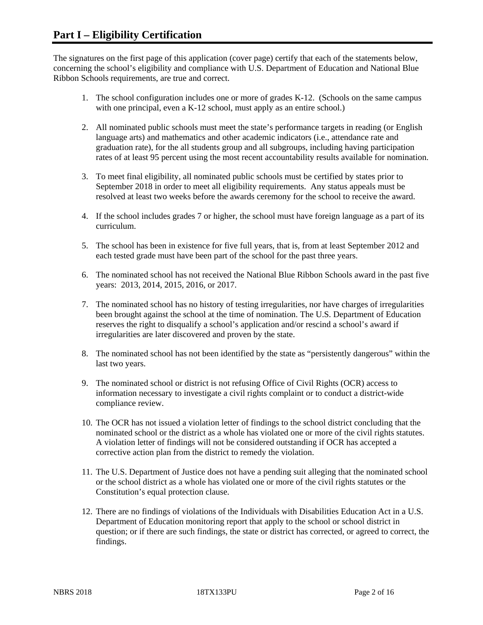The signatures on the first page of this application (cover page) certify that each of the statements below, concerning the school's eligibility and compliance with U.S. Department of Education and National Blue Ribbon Schools requirements, are true and correct.

- 1. The school configuration includes one or more of grades K-12. (Schools on the same campus with one principal, even a K-12 school, must apply as an entire school.)
- 2. All nominated public schools must meet the state's performance targets in reading (or English language arts) and mathematics and other academic indicators (i.e., attendance rate and graduation rate), for the all students group and all subgroups, including having participation rates of at least 95 percent using the most recent accountability results available for nomination.
- 3. To meet final eligibility, all nominated public schools must be certified by states prior to September 2018 in order to meet all eligibility requirements. Any status appeals must be resolved at least two weeks before the awards ceremony for the school to receive the award.
- 4. If the school includes grades 7 or higher, the school must have foreign language as a part of its curriculum.
- 5. The school has been in existence for five full years, that is, from at least September 2012 and each tested grade must have been part of the school for the past three years.
- 6. The nominated school has not received the National Blue Ribbon Schools award in the past five years: 2013, 2014, 2015, 2016, or 2017.
- 7. The nominated school has no history of testing irregularities, nor have charges of irregularities been brought against the school at the time of nomination. The U.S. Department of Education reserves the right to disqualify a school's application and/or rescind a school's award if irregularities are later discovered and proven by the state.
- 8. The nominated school has not been identified by the state as "persistently dangerous" within the last two years.
- 9. The nominated school or district is not refusing Office of Civil Rights (OCR) access to information necessary to investigate a civil rights complaint or to conduct a district-wide compliance review.
- 10. The OCR has not issued a violation letter of findings to the school district concluding that the nominated school or the district as a whole has violated one or more of the civil rights statutes. A violation letter of findings will not be considered outstanding if OCR has accepted a corrective action plan from the district to remedy the violation.
- 11. The U.S. Department of Justice does not have a pending suit alleging that the nominated school or the school district as a whole has violated one or more of the civil rights statutes or the Constitution's equal protection clause.
- 12. There are no findings of violations of the Individuals with Disabilities Education Act in a U.S. Department of Education monitoring report that apply to the school or school district in question; or if there are such findings, the state or district has corrected, or agreed to correct, the findings.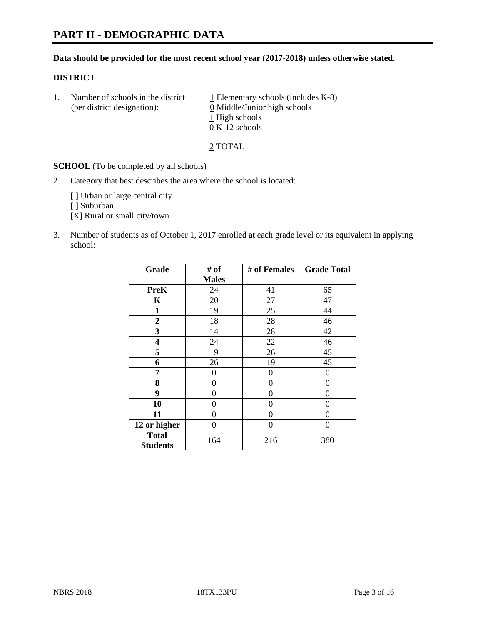# **PART II - DEMOGRAPHIC DATA**

#### **Data should be provided for the most recent school year (2017-2018) unless otherwise stated.**

#### **DISTRICT**

1. Number of schools in the district  $1$  Elementary schools (includes K-8) (per district designation): 0 Middle/Junior high schools 1 High schools 0 K-12 schools

2 TOTAL

**SCHOOL** (To be completed by all schools)

2. Category that best describes the area where the school is located:

[] Urban or large central city

[ ] Suburban

[X] Rural or small city/town

3. Number of students as of October 1, 2017 enrolled at each grade level or its equivalent in applying school:

| Grade                           | # of           | # of Females | <b>Grade Total</b> |
|---------------------------------|----------------|--------------|--------------------|
|                                 | <b>Males</b>   |              |                    |
| <b>PreK</b>                     | 24             | 41           | 65                 |
| $\mathbf K$                     | 20             | 27           | 47                 |
| 1                               | 19             | 25           | 44                 |
| $\overline{2}$                  | 18             | 28           | 46                 |
| 3                               | 14             | 28           | 42                 |
| 4                               | 24             | 22           | 46                 |
| 5                               | 19             | 26           | 45                 |
| 6                               | 26             | 19           | 45                 |
| 7                               | 0              | 0            | $\Omega$           |
| 8                               | $\overline{0}$ | $\theta$     | 0                  |
| 9                               | 0              | $\theta$     | 0                  |
| 10                              | 0              | $\theta$     | 0                  |
| 11                              | $\theta$       | $\theta$     | 0                  |
| 12 or higher                    | 0              | $\theta$     | 0                  |
| <b>Total</b><br><b>Students</b> | 164            | 216          | 380                |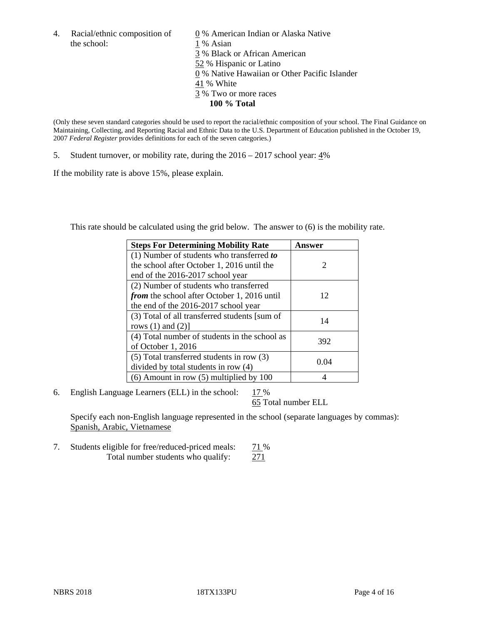the school: 1 % Asian

4. Racial/ethnic composition of  $\qquad 0\%$  American Indian or Alaska Native 3 % Black or African American 52 % Hispanic or Latino 0 % Native Hawaiian or Other Pacific Islander 41 % White 3 % Two or more races **100 % Total**

(Only these seven standard categories should be used to report the racial/ethnic composition of your school. The Final Guidance on Maintaining, Collecting, and Reporting Racial and Ethnic Data to the U.S. Department of Education published in the October 19, 2007 *Federal Register* provides definitions for each of the seven categories.)

5. Student turnover, or mobility rate, during the 2016 – 2017 school year: 4%

If the mobility rate is above 15%, please explain.

This rate should be calculated using the grid below. The answer to (6) is the mobility rate.

| <b>Steps For Determining Mobility Rate</b>         | Answer |
|----------------------------------------------------|--------|
| $(1)$ Number of students who transferred to        |        |
| the school after October 1, 2016 until the         | 2      |
| end of the 2016-2017 school year                   |        |
| (2) Number of students who transferred             |        |
| <i>from</i> the school after October 1, 2016 until | 12     |
| the end of the 2016-2017 school year               |        |
| (3) Total of all transferred students [sum of      | 14     |
| rows $(1)$ and $(2)$ ]                             |        |
| (4) Total number of students in the school as      |        |
| of October 1, 2016                                 | 392    |
| (5) Total transferred students in row (3)          |        |
| divided by total students in row (4)               | 0.04   |
| $(6)$ Amount in row $(5)$ multiplied by 100        |        |

6. English Language Learners (ELL) in the school:  $17\%$ 

65 Total number ELL

Specify each non-English language represented in the school (separate languages by commas): Spanish, Arabic, Vietnamese

7. Students eligible for free/reduced-priced meals: 71 % Total number students who qualify: 271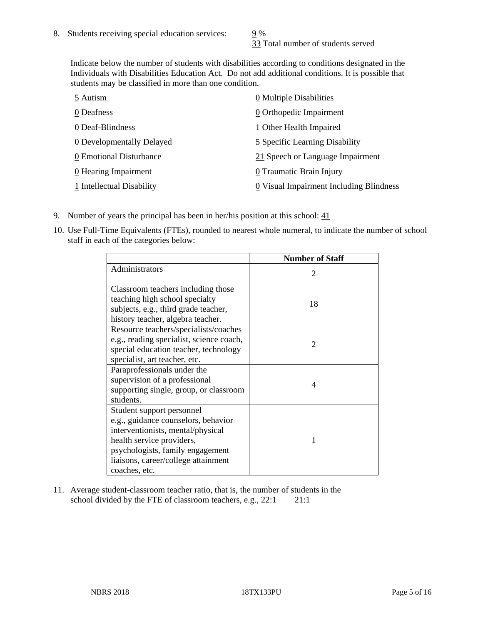33 Total number of students served

Indicate below the number of students with disabilities according to conditions designated in the Individuals with Disabilities Education Act. Do not add additional conditions. It is possible that students may be classified in more than one condition.

| 5 Autism                  | $\underline{0}$ Multiple Disabilities                 |
|---------------------------|-------------------------------------------------------|
| 0 Deafness                | 0 Orthopedic Impairment                               |
| 0 Deaf-Blindness          | 1 Other Health Impaired                               |
| 0 Developmentally Delayed | 5 Specific Learning Disability                        |
| 0 Emotional Disturbance   | 21 Speech or Language Impairment                      |
| 0 Hearing Impairment      | 0 Traumatic Brain Injury                              |
| 1 Intellectual Disability | $\underline{0}$ Visual Impairment Including Blindness |

- 9. Number of years the principal has been in her/his position at this school:  $\frac{41}{2}$
- 10. Use Full-Time Equivalents (FTEs), rounded to nearest whole numeral, to indicate the number of school staff in each of the categories below:

|                                                                                                                                                                                                                                | <b>Number of Staff</b>      |
|--------------------------------------------------------------------------------------------------------------------------------------------------------------------------------------------------------------------------------|-----------------------------|
| Administrators                                                                                                                                                                                                                 | $\mathcal{D}_{\mathcal{L}}$ |
| Classroom teachers including those<br>teaching high school specialty<br>subjects, e.g., third grade teacher,<br>history teacher, algebra teacher.                                                                              | 18                          |
| Resource teachers/specialists/coaches<br>e.g., reading specialist, science coach,<br>special education teacher, technology<br>specialist, art teacher, etc.                                                                    | $\mathfrak{D}$              |
| Paraprofessionals under the<br>supervision of a professional<br>supporting single, group, or classroom<br>students.                                                                                                            | 4                           |
| Student support personnel<br>e.g., guidance counselors, behavior<br>interventionists, mental/physical<br>health service providers,<br>psychologists, family engagement<br>liaisons, career/college attainment<br>coaches, etc. |                             |

11. Average student-classroom teacher ratio, that is, the number of students in the school divided by the FTE of classroom teachers, e.g.,  $22:1$  21:1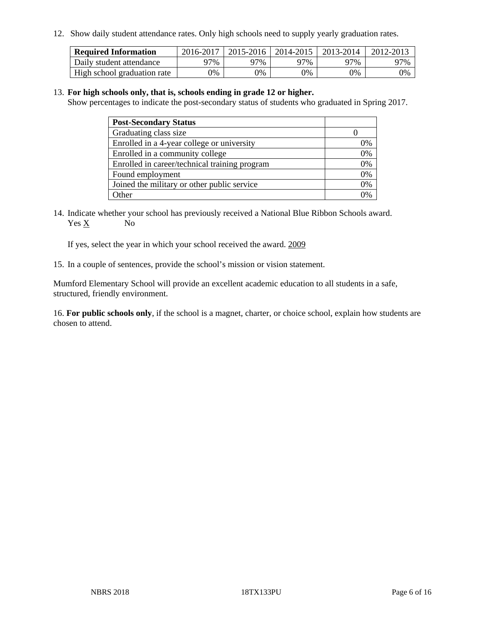12. Show daily student attendance rates. Only high schools need to supply yearly graduation rates.

| <b>Required Information</b> | 2016-2017 | $2015 - 2016$ | 2014-2015 | 2013-2014 | 2012-2013 |
|-----------------------------|-----------|---------------|-----------|-----------|-----------|
| Daily student attendance    | 97%       | 97%           | 97%       | ว7%       | 97%       |
| High school graduation rate | 0%        | 0%            | 0%        | 0%        | 0%        |

#### 13. **For high schools only, that is, schools ending in grade 12 or higher.**

Show percentages to indicate the post-secondary status of students who graduated in Spring 2017.

| <b>Post-Secondary Status</b>                  |    |
|-----------------------------------------------|----|
| Graduating class size                         |    |
| Enrolled in a 4-year college or university    | 7% |
| Enrolled in a community college               | 0% |
| Enrolled in career/technical training program | 0% |
| Found employment                              | 0% |
| Joined the military or other public service   | 0% |
| Other                                         |    |

14. Indicate whether your school has previously received a National Blue Ribbon Schools award. Yes X No

If yes, select the year in which your school received the award. 2009

15. In a couple of sentences, provide the school's mission or vision statement.

Mumford Elementary School will provide an excellent academic education to all students in a safe, structured, friendly environment.

16. **For public schools only**, if the school is a magnet, charter, or choice school, explain how students are chosen to attend.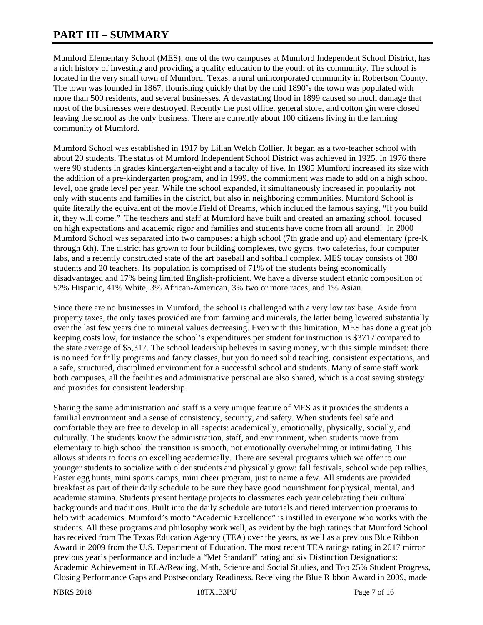# **PART III – SUMMARY**

Mumford Elementary School (MES), one of the two campuses at Mumford Independent School District, has a rich history of investing and providing a quality education to the youth of its community. The school is located in the very small town of Mumford, Texas, a rural unincorporated community in Robertson County. The town was founded in 1867, flourishing quickly that by the mid 1890's the town was populated with more than 500 residents, and several businesses. A devastating flood in 1899 caused so much damage that most of the businesses were destroyed. Recently the post office, general store, and cotton gin were closed leaving the school as the only business. There are currently about 100 citizens living in the farming community of Mumford.

Mumford School was established in 1917 by Lilian Welch Collier. It began as a two-teacher school with about 20 students. The status of Mumford Independent School District was achieved in 1925. In 1976 there were 90 students in grades kindergarten-eight and a faculty of five. In 1985 Mumford increased its size with the addition of a pre-kindergarten program, and in 1999, the commitment was made to add on a high school level, one grade level per year. While the school expanded, it simultaneously increased in popularity not only with students and families in the district, but also in neighboring communities. Mumford School is quite literally the equivalent of the movie Field of Dreams, which included the famous saying, "If you build it, they will come." The teachers and staff at Mumford have built and created an amazing school, focused on high expectations and academic rigor and families and students have come from all around! In 2000 Mumford School was separated into two campuses: a high school (7th grade and up) and elementary (pre-K through 6th). The district has grown to four building complexes, two gyms, two cafeterias, four computer labs, and a recently constructed state of the art baseball and softball complex. MES today consists of 380 students and 20 teachers. Its population is comprised of 71% of the students being economically disadvantaged and 17% being limited English-proficient. We have a diverse student ethnic composition of 52% Hispanic, 41% White, 3% African-American, 3% two or more races, and 1% Asian.

Since there are no businesses in Mumford, the school is challenged with a very low tax base. Aside from property taxes, the only taxes provided are from farming and minerals, the latter being lowered substantially over the last few years due to mineral values decreasing. Even with this limitation, MES has done a great job keeping costs low, for instance the school's expenditures per student for instruction is \$3717 compared to the state average of \$5,317. The school leadership believes in saving money, with this simple mindset: there is no need for frilly programs and fancy classes, but you do need solid teaching, consistent expectations, and a safe, structured, disciplined environment for a successful school and students. Many of same staff work both campuses, all the facilities and administrative personal are also shared, which is a cost saving strategy and provides for consistent leadership.

Sharing the same administration and staff is a very unique feature of MES as it provides the students a familial environment and a sense of consistency, security, and safety. When students feel safe and comfortable they are free to develop in all aspects: academically, emotionally, physically, socially, and culturally. The students know the administration, staff, and environment, when students move from elementary to high school the transition is smooth, not emotionally overwhelming or intimidating. This allows students to focus on excelling academically. There are several programs which we offer to our younger students to socialize with older students and physically grow: fall festivals, school wide pep rallies, Easter egg hunts, mini sports camps, mini cheer program, just to name a few. All students are provided breakfast as part of their daily schedule to be sure they have good nourishment for physical, mental, and academic stamina. Students present heritage projects to classmates each year celebrating their cultural backgrounds and traditions. Built into the daily schedule are tutorials and tiered intervention programs to help with academics. Mumford's motto "Academic Excellence" is instilled in everyone who works with the students. All these programs and philosophy work well, as evident by the high ratings that Mumford School has received from The Texas Education Agency (TEA) over the years, as well as a previous Blue Ribbon Award in 2009 from the U.S. Department of Education. The most recent TEA ratings rating in 2017 mirror previous year's performance and include a "Met Standard" rating and six Distinction Designations: Academic Achievement in ELA/Reading, Math, Science and Social Studies, and Top 25% Student Progress, Closing Performance Gaps and Postsecondary Readiness. Receiving the Blue Ribbon Award in 2009, made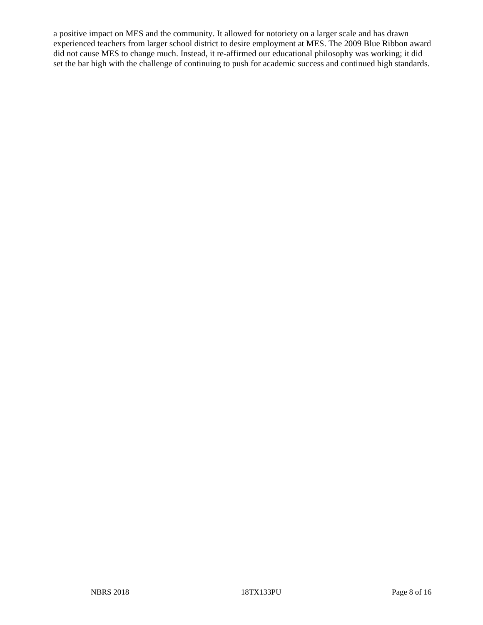a positive impact on MES and the community. It allowed for notoriety on a larger scale and has drawn experienced teachers from larger school district to desire employment at MES. The 2009 Blue Ribbon award did not cause MES to change much. Instead, it re-affirmed our educational philosophy was working; it did set the bar high with the challenge of continuing to push for academic success and continued high standards.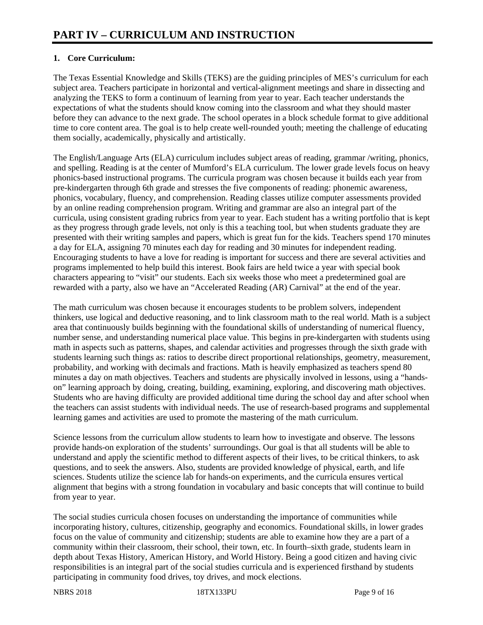# **1. Core Curriculum:**

The Texas Essential Knowledge and Skills (TEKS) are the guiding principles of MES's curriculum for each subject area. Teachers participate in horizontal and vertical-alignment meetings and share in dissecting and analyzing the TEKS to form a continuum of learning from year to year. Each teacher understands the expectations of what the students should know coming into the classroom and what they should master before they can advance to the next grade. The school operates in a block schedule format to give additional time to core content area. The goal is to help create well-rounded youth; meeting the challenge of educating them socially, academically, physically and artistically.

The English/Language Arts (ELA) curriculum includes subject areas of reading, grammar /writing, phonics, and spelling. Reading is at the center of Mumford's ELA curriculum. The lower grade levels focus on heavy phonics-based instructional programs. The curricula program was chosen because it builds each year from pre-kindergarten through 6th grade and stresses the five components of reading: phonemic awareness, phonics, vocabulary, fluency, and comprehension. Reading classes utilize computer assessments provided by an online reading comprehension program. Writing and grammar are also an integral part of the curricula, using consistent grading rubrics from year to year. Each student has a writing portfolio that is kept as they progress through grade levels, not only is this a teaching tool, but when students graduate they are presented with their writing samples and papers, which is great fun for the kids. Teachers spend 170 minutes a day for ELA, assigning 70 minutes each day for reading and 30 minutes for independent reading. Encouraging students to have a love for reading is important for success and there are several activities and programs implemented to help build this interest. Book fairs are held twice a year with special book characters appearing to "visit" our students. Each six weeks those who meet a predetermined goal are rewarded with a party, also we have an "Accelerated Reading (AR) Carnival" at the end of the year.

The math curriculum was chosen because it encourages students to be problem solvers, independent thinkers, use logical and deductive reasoning, and to link classroom math to the real world. Math is a subject area that continuously builds beginning with the foundational skills of understanding of numerical fluency, number sense, and understanding numerical place value. This begins in pre-kindergarten with students using math in aspects such as patterns, shapes, and calendar activities and progresses through the sixth grade with students learning such things as: ratios to describe direct proportional relationships, geometry, measurement, probability, and working with decimals and fractions. Math is heavily emphasized as teachers spend 80 minutes a day on math objectives. Teachers and students are physically involved in lessons, using a "handson" learning approach by doing, creating, building, examining, exploring, and discovering math objectives. Students who are having difficulty are provided additional time during the school day and after school when the teachers can assist students with individual needs. The use of research-based programs and supplemental learning games and activities are used to promote the mastering of the math curriculum.

Science lessons from the curriculum allow students to learn how to investigate and observe. The lessons provide hands-on exploration of the students' surroundings. Our goal is that all students will be able to understand and apply the scientific method to different aspects of their lives, to be critical thinkers, to ask questions, and to seek the answers. Also, students are provided knowledge of physical, earth, and life sciences. Students utilize the science lab for hands-on experiments, and the curricula ensures vertical alignment that begins with a strong foundation in vocabulary and basic concepts that will continue to build from year to year.

The social studies curricula chosen focuses on understanding the importance of communities while incorporating history, cultures, citizenship, geography and economics. Foundational skills, in lower grades focus on the value of community and citizenship; students are able to examine how they are a part of a community within their classroom, their school, their town, etc. In fourth–sixth grade, students learn in depth about Texas History, American History, and World History. Being a good citizen and having civic responsibilities is an integral part of the social studies curricula and is experienced firsthand by students participating in community food drives, toy drives, and mock elections.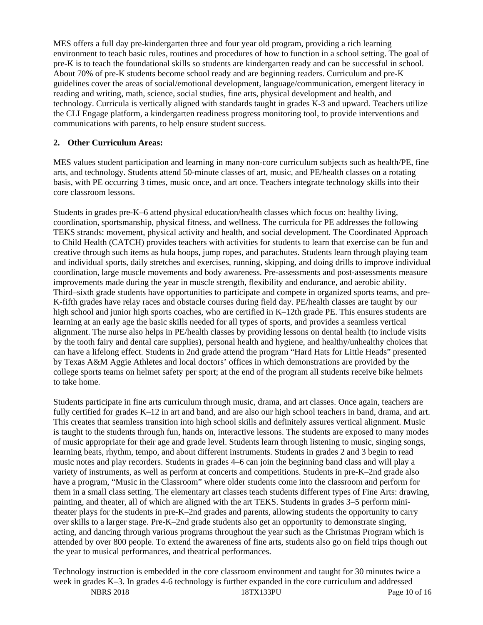MES offers a full day pre-kindergarten three and four year old program, providing a rich learning environment to teach basic rules, routines and procedures of how to function in a school setting. The goal of pre-K is to teach the foundational skills so students are kindergarten ready and can be successful in school. About 70% of pre-K students become school ready and are beginning readers. Curriculum and pre-K guidelines cover the areas of social/emotional development, language/communication, emergent literacy in reading and writing, math, science, social studies, fine arts, physical development and health, and technology. Curricula is vertically aligned with standards taught in grades K-3 and upward. Teachers utilize the CLI Engage platform, a kindergarten readiness progress monitoring tool, to provide interventions and communications with parents, to help ensure student success.

## **2. Other Curriculum Areas:**

MES values student participation and learning in many non-core curriculum subjects such as health/PE, fine arts, and technology. Students attend 50-minute classes of art, music, and PE/health classes on a rotating basis, with PE occurring 3 times, music once, and art once. Teachers integrate technology skills into their core classroom lessons.

Students in grades pre-K–6 attend physical education/health classes which focus on: healthy living, coordination, sportsmanship, physical fitness, and wellness. The curricula for PE addresses the following TEKS strands: movement, physical activity and health, and social development. The Coordinated Approach to Child Health (CATCH) provides teachers with activities for students to learn that exercise can be fun and creative through such items as hula hoops, jump ropes, and parachutes. Students learn through playing team and individual sports, daily stretches and exercises, running, skipping, and doing drills to improve individual coordination, large muscle movements and body awareness. Pre-assessments and post-assessments measure improvements made during the year in muscle strength, flexibility and endurance, and aerobic ability. Third–sixth grade students have opportunities to participate and compete in organized sports teams, and pre-K-fifth grades have relay races and obstacle courses during field day. PE/health classes are taught by our high school and junior high sports coaches, who are certified in K–12th grade PE. This ensures students are learning at an early age the basic skills needed for all types of sports, and provides a seamless vertical alignment. The nurse also helps in PE/health classes by providing lessons on dental health (to include visits by the tooth fairy and dental care supplies), personal health and hygiene, and healthy/unhealthy choices that can have a lifelong effect. Students in 2nd grade attend the program "Hard Hats for Little Heads" presented by Texas A&M Aggie Athletes and local doctors' offices in which demonstrations are provided by the college sports teams on helmet safety per sport; at the end of the program all students receive bike helmets to take home.

Students participate in fine arts curriculum through music, drama, and art classes. Once again, teachers are fully certified for grades K–12 in art and band, and are also our high school teachers in band, drama, and art. This creates that seamless transition into high school skills and definitely assures vertical alignment. Music is taught to the students through fun, hands on, interactive lessons. The students are exposed to many modes of music appropriate for their age and grade level. Students learn through listening to music, singing songs, learning beats, rhythm, tempo, and about different instruments. Students in grades 2 and 3 begin to read music notes and play recorders. Students in grades 4–6 can join the beginning band class and will play a variety of instruments, as well as perform at concerts and competitions. Students in pre-K–2nd grade also have a program, "Music in the Classroom" where older students come into the classroom and perform for them in a small class setting. The elementary art classes teach students different types of Fine Arts: drawing, painting, and theater, all of which are aligned with the art TEKS. Students in grades 3–5 perform minitheater plays for the students in pre-K–2nd grades and parents, allowing students the opportunity to carry over skills to a larger stage. Pre-K–2nd grade students also get an opportunity to demonstrate singing, acting, and dancing through various programs throughout the year such as the Christmas Program which is attended by over 800 people. To extend the awareness of fine arts, students also go on field trips though out the year to musical performances, and theatrical performances.

NBRS 2018 18TX133PU Page 10 of 16 Technology instruction is embedded in the core classroom environment and taught for 30 minutes twice a week in grades K–3. In grades 4-6 technology is further expanded in the core curriculum and addressed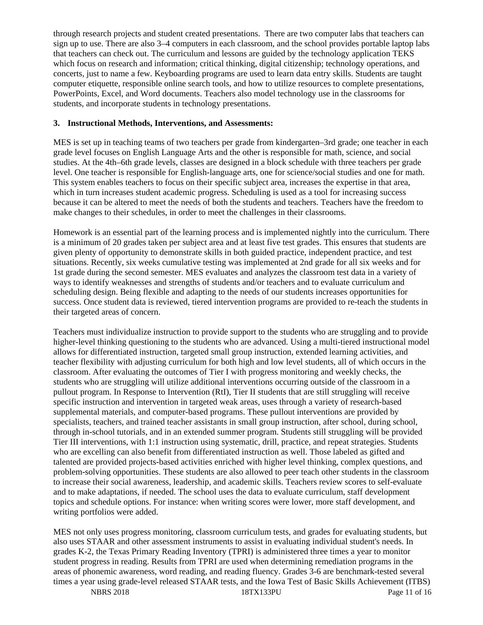through research projects and student created presentations. There are two computer labs that teachers can sign up to use. There are also 3–4 computers in each classroom, and the school provides portable laptop labs that teachers can check out. The curriculum and lessons are guided by the technology application TEKS which focus on research and information; critical thinking, digital citizenship; technology operations, and concerts, just to name a few. Keyboarding programs are used to learn data entry skills. Students are taught computer etiquette, responsible online search tools, and how to utilize resources to complete presentations, PowerPoints, Excel, and Word documents. Teachers also model technology use in the classrooms for students, and incorporate students in technology presentations.

#### **3. Instructional Methods, Interventions, and Assessments:**

MES is set up in teaching teams of two teachers per grade from kindergarten–3rd grade; one teacher in each grade level focuses on English Language Arts and the other is responsible for math, science, and social studies. At the 4th–6th grade levels, classes are designed in a block schedule with three teachers per grade level. One teacher is responsible for English-language arts, one for science/social studies and one for math. This system enables teachers to focus on their specific subject area, increases the expertise in that area, which in turn increases student academic progress. Scheduling is used as a tool for increasing success because it can be altered to meet the needs of both the students and teachers. Teachers have the freedom to make changes to their schedules, in order to meet the challenges in their classrooms.

Homework is an essential part of the learning process and is implemented nightly into the curriculum. There is a minimum of 20 grades taken per subject area and at least five test grades. This ensures that students are given plenty of opportunity to demonstrate skills in both guided practice, independent practice, and test situations. Recently, six weeks cumulative testing was implemented at 2nd grade for all six weeks and for 1st grade during the second semester. MES evaluates and analyzes the classroom test data in a variety of ways to identify weaknesses and strengths of students and/or teachers and to evaluate curriculum and scheduling design. Being flexible and adapting to the needs of our students increases opportunities for success. Once student data is reviewed, tiered intervention programs are provided to re-teach the students in their targeted areas of concern.

Teachers must individualize instruction to provide support to the students who are struggling and to provide higher-level thinking questioning to the students who are advanced. Using a multi-tiered instructional model allows for differentiated instruction, targeted small group instruction, extended learning activities, and teacher flexibility with adjusting curriculum for both high and low level students, all of which occurs in the classroom. After evaluating the outcomes of Tier I with progress monitoring and weekly checks, the students who are struggling will utilize additional interventions occurring outside of the classroom in a pullout program. In Response to Intervention (RtI), Tier II students that are still struggling will receive specific instruction and intervention in targeted weak areas, uses through a variety of research-based supplemental materials, and computer-based programs. These pullout interventions are provided by specialists, teachers, and trained teacher assistants in small group instruction, after school, during school, through in-school tutorials, and in an extended summer program. Students still struggling will be provided Tier III interventions, with 1:1 instruction using systematic, drill, practice, and repeat strategies. Students who are excelling can also benefit from differentiated instruction as well. Those labeled as gifted and talented are provided projects-based activities enriched with higher level thinking, complex questions, and problem-solving opportunities. These students are also allowed to peer teach other students in the classroom to increase their social awareness, leadership, and academic skills. Teachers review scores to self-evaluate and to make adaptations, if needed. The school uses the data to evaluate curriculum, staff development topics and schedule options. For instance: when writing scores were lower, more staff development, and writing portfolios were added.

MES not only uses progress monitoring, classroom curriculum tests, and grades for evaluating students, but also uses STAAR and other assessment instruments to assist in evaluating individual student's needs. In grades K-2, the Texas Primary Reading Inventory (TPRI) is administered three times a year to monitor student progress in reading. Results from TPRI are used when determining remediation programs in the areas of phonemic awareness, word reading, and reading fluency. Grades 3-6 are benchmark-tested several times a year using grade-level released STAAR tests, and the Iowa Test of Basic Skills Achievement (ITBS)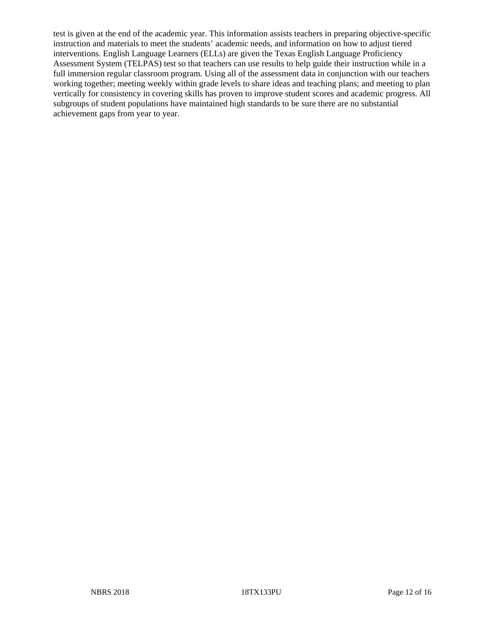test is given at the end of the academic year. This information assists teachers in preparing objective-specific instruction and materials to meet the students' academic needs, and information on how to adjust tiered interventions. English Language Learners (ELLs) are given the Texas English Language Proficiency Assessment System (TELPAS) test so that teachers can use results to help guide their instruction while in a full immersion regular classroom program. Using all of the assessment data in conjunction with our teachers working together; meeting weekly within grade levels to share ideas and teaching plans; and meeting to plan vertically for consistency in covering skills has proven to improve student scores and academic progress. All subgroups of student populations have maintained high standards to be sure there are no substantial achievement gaps from year to year.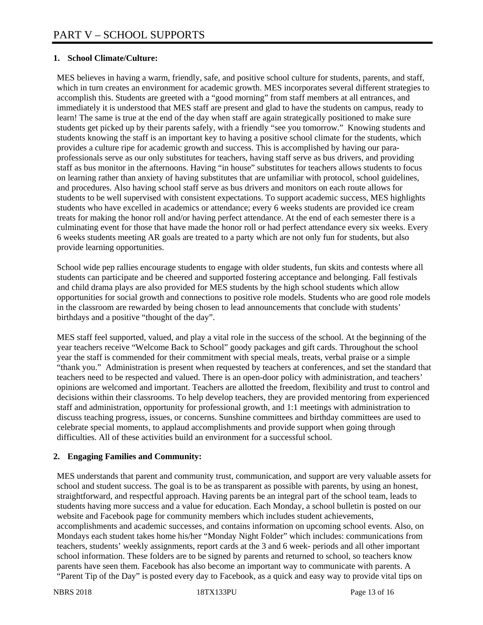## **1. School Climate/Culture:**

MES believes in having a warm, friendly, safe, and positive school culture for students, parents, and staff, which in turn creates an environment for academic growth. MES incorporates several different strategies to accomplish this. Students are greeted with a "good morning" from staff members at all entrances, and immediately it is understood that MES staff are present and glad to have the students on campus, ready to learn! The same is true at the end of the day when staff are again strategically positioned to make sure students get picked up by their parents safely, with a friendly "see you tomorrow." Knowing students and students knowing the staff is an important key to having a positive school climate for the students, which provides a culture ripe for academic growth and success. This is accomplished by having our paraprofessionals serve as our only substitutes for teachers, having staff serve as bus drivers, and providing staff as bus monitor in the afternoons. Having "in house" substitutes for teachers allows students to focus on learning rather than anxiety of having substitutes that are unfamiliar with protocol, school guidelines, and procedures. Also having school staff serve as bus drivers and monitors on each route allows for students to be well supervised with consistent expectations. To support academic success, MES highlights students who have excelled in academics or attendance; every 6 weeks students are provided ice cream treats for making the honor roll and/or having perfect attendance. At the end of each semester there is a culminating event for those that have made the honor roll or had perfect attendance every six weeks. Every 6 weeks students meeting AR goals are treated to a party which are not only fun for students, but also provide learning opportunities.

School wide pep rallies encourage students to engage with older students, fun skits and contests where all students can participate and be cheered and supported fostering acceptance and belonging. Fall festivals and child drama plays are also provided for MES students by the high school students which allow opportunities for social growth and connections to positive role models. Students who are good role models in the classroom are rewarded by being chosen to lead announcements that conclude with students' birthdays and a positive "thought of the day".

MES staff feel supported, valued, and play a vital role in the success of the school. At the beginning of the year teachers receive "Welcome Back to School" goody packages and gift cards. Throughout the school year the staff is commended for their commitment with special meals, treats, verbal praise or a simple "thank you." Administration is present when requested by teachers at conferences, and set the standard that teachers need to be respected and valued. There is an open-door policy with administration, and teachers' opinions are welcomed and important. Teachers are allotted the freedom, flexibility and trust to control and decisions within their classrooms. To help develop teachers, they are provided mentoring from experienced staff and administration, opportunity for professional growth, and 1:1 meetings with administration to discuss teaching progress, issues, or concerns. Sunshine committees and birthday committees are used to celebrate special moments, to applaud accomplishments and provide support when going through difficulties. All of these activities build an environment for a successful school.

## **2. Engaging Families and Community:**

MES understands that parent and community trust, communication, and support are very valuable assets for school and student success. The goal is to be as transparent as possible with parents, by using an honest, straightforward, and respectful approach. Having parents be an integral part of the school team, leads to students having more success and a value for education. Each Monday, a school bulletin is posted on our website and Facebook page for community members which includes student achievements, accomplishments and academic successes, and contains information on upcoming school events. Also, on Mondays each student takes home his/her "Monday Night Folder" which includes: communications from teachers, students' weekly assignments, report cards at the 3 and 6 week- periods and all other important school information. These folders are to be signed by parents and returned to school, so teachers know parents have seen them. Facebook has also become an important way to communicate with parents. A "Parent Tip of the Day" is posted every day to Facebook, as a quick and easy way to provide vital tips on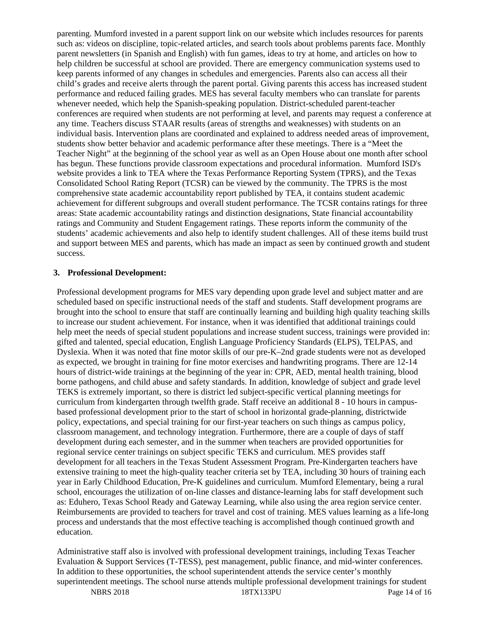parenting. Mumford invested in a parent support link on our website which includes resources for parents such as: videos on discipline, topic-related articles, and search tools about problems parents face. Monthly parent newsletters (in Spanish and English) with fun games, ideas to try at home, and articles on how to help children be successful at school are provided. There are emergency communication systems used to keep parents informed of any changes in schedules and emergencies. Parents also can access all their child's grades and receive alerts through the parent portal. Giving parents this access has increased student performance and reduced failing grades. MES has several faculty members who can translate for parents whenever needed, which help the Spanish-speaking population. District-scheduled parent-teacher conferences are required when students are not performing at level, and parents may request a conference at any time. Teachers discuss STAAR results (areas of strengths and weaknesses) with students on an individual basis. Intervention plans are coordinated and explained to address needed areas of improvement, students show better behavior and academic performance after these meetings. There is a "Meet the Teacher Night" at the beginning of the school year as well as an Open House about one month after school has begun. These functions provide classroom expectations and procedural information. Mumford ISD's website provides a link to TEA where the Texas Performance Reporting System (TPRS), and the Texas Consolidated School Rating Report (TCSR) can be viewed by the community. The TPRS is the most comprehensive state academic accountability report published by TEA, it contains student academic achievement for different subgroups and overall student performance. The TCSR contains ratings for three areas: State academic accountability ratings and distinction designations, State financial accountability ratings and Community and Student Engagement ratings. These reports inform the community of the students' academic achievements and also help to identify student challenges. All of these items build trust and support between MES and parents, which has made an impact as seen by continued growth and student success.

#### **3. Professional Development:**

Professional development programs for MES vary depending upon grade level and subject matter and are scheduled based on specific instructional needs of the staff and students. Staff development programs are brought into the school to ensure that staff are continually learning and building high quality teaching skills to increase our student achievement. For instance, when it was identified that additional trainings could help meet the needs of special student populations and increase student success, trainings were provided in: gifted and talented, special education, English Language Proficiency Standards (ELPS), TELPAS, and Dyslexia. When it was noted that fine motor skills of our pre-K–2nd grade students were not as developed as expected, we brought in training for fine motor exercises and handwriting programs. There are 12-14 hours of district-wide trainings at the beginning of the year in: CPR, AED, mental health training, blood borne pathogens, and child abuse and safety standards. In addition, knowledge of subject and grade level TEKS is extremely important, so there is district led subject-specific vertical planning meetings for curriculum from kindergarten through twelfth grade. Staff receive an additional 8 - 10 hours in campusbased professional development prior to the start of school in horizontal grade-planning, districtwide policy, expectations, and special training for our first-year teachers on such things as campus policy, classroom management, and technology integration. Furthermore, there are a couple of days of staff development during each semester, and in the summer when teachers are provided opportunities for regional service center trainings on subject specific TEKS and curriculum. MES provides staff development for all teachers in the Texas Student Assessment Program. Pre-Kindergarten teachers have extensive training to meet the high-quality teacher criteria set by TEA, including 30 hours of training each year in Early Childhood Education, Pre-K guidelines and curriculum. Mumford Elementary, being a rural school, encourages the utilization of on-line classes and distance-learning labs for staff development such as: Eduhero, Texas School Ready and Gateway Learning, while also using the area region service center. Reimbursements are provided to teachers for travel and cost of training. MES values learning as a life-long process and understands that the most effective teaching is accomplished though continued growth and education.

Administrative staff also is involved with professional development trainings, including Texas Teacher Evaluation & Support Services (T-TESS), pest management, public finance, and mid-winter conferences. In addition to these opportunities, the school superintendent attends the service center's monthly superintendent meetings. The school nurse attends multiple professional development trainings for student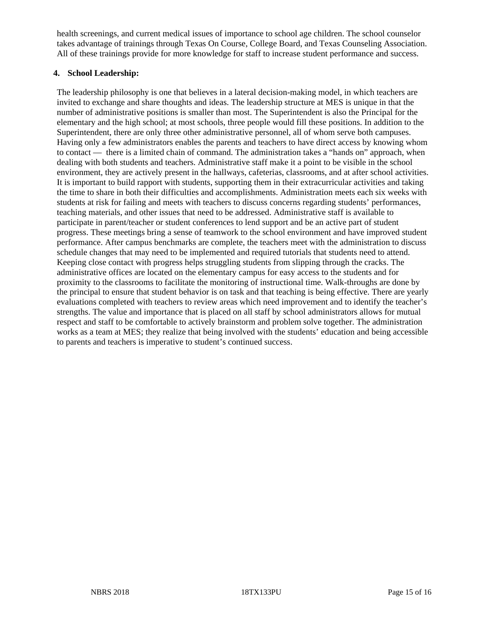health screenings, and current medical issues of importance to school age children. The school counselor takes advantage of trainings through Texas On Course, College Board, and Texas Counseling Association. All of these trainings provide for more knowledge for staff to increase student performance and success.

### **4. School Leadership:**

The leadership philosophy is one that believes in a lateral decision-making model, in which teachers are invited to exchange and share thoughts and ideas. The leadership structure at MES is unique in that the number of administrative positions is smaller than most. The Superintendent is also the Principal for the elementary and the high school; at most schools, three people would fill these positions. In addition to the Superintendent, there are only three other administrative personnel, all of whom serve both campuses. Having only a few administrators enables the parents and teachers to have direct access by knowing whom to contact — there is a limited chain of command. The administration takes a "hands on" approach, when dealing with both students and teachers. Administrative staff make it a point to be visible in the school environment, they are actively present in the hallways, cafeterias, classrooms, and at after school activities. It is important to build rapport with students, supporting them in their extracurricular activities and taking the time to share in both their difficulties and accomplishments. Administration meets each six weeks with students at risk for failing and meets with teachers to discuss concerns regarding students' performances, teaching materials, and other issues that need to be addressed. Administrative staff is available to participate in parent/teacher or student conferences to lend support and be an active part of student progress. These meetings bring a sense of teamwork to the school environment and have improved student performance. After campus benchmarks are complete, the teachers meet with the administration to discuss schedule changes that may need to be implemented and required tutorials that students need to attend. Keeping close contact with progress helps struggling students from slipping through the cracks. The administrative offices are located on the elementary campus for easy access to the students and for proximity to the classrooms to facilitate the monitoring of instructional time. Walk-throughs are done by the principal to ensure that student behavior is on task and that teaching is being effective. There are yearly evaluations completed with teachers to review areas which need improvement and to identify the teacher's strengths. The value and importance that is placed on all staff by school administrators allows for mutual respect and staff to be comfortable to actively brainstorm and problem solve together. The administration works as a team at MES; they realize that being involved with the students' education and being accessible to parents and teachers is imperative to student's continued success.